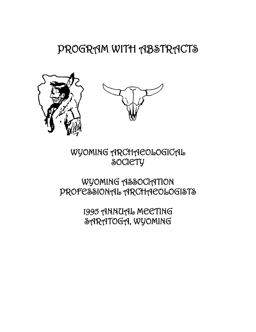# PROGRAM WITH ABSTRACTS





WYOMING ARCHAEOLOGICAL **SOCIETY** 

# WYOMING ASSOCIATION PROFESSIONAL ARCHAEOLOGISTS

1995 ANNUAL MEETING SARATOGA, WYOMING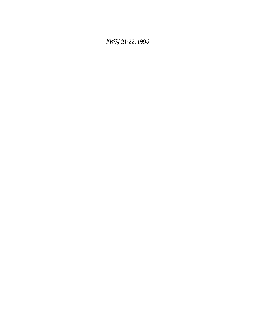MAY 21-22, 1995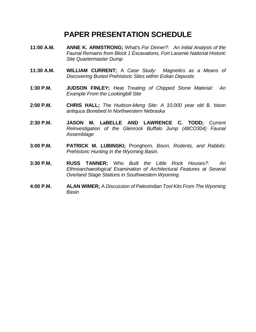## **PAPER PRESENTATION SCHEDULE**

- **11:00 A.M. ANNE K. ARMSTRONG;** What's *For Dinner?: An Initial Analysis of the Faunal Remains from Block 1 Excavations, Fort Laramie National Historic Site Quartermaster Dump*
- **11:30 A.M. WILLIAM CURRENT;** A *Case Study: Magnetics as a Means of Discovering Buried Prehistoric Sites within Eolian Deposits*
- **1:30 P.M. JUDSON FINLEY;** Heat *Treating of Chipped Stone Material: An Example From the Lookingbill Site*
- **2:00 P.M. CHRIS HALL;** *The Hudson-Meng Site: A 10,000 year old* B. bison antiquus *Bonebed In Northwestern Nebraska*
- **2:30 P.M. JASON M. LaBELLE AND LAWRENCE C. TODD;** Current *Reinvestigation of the Glenrock Buffalo Jump (48CO304) Faunal Assemblage*
- **3:00 P.M. PATRICK M. LUBINSKI;** Pronghorn*, Bison, Rodents, and Rabbits: Prehistoric Hunting in the Wyoming Basin.*
- **3:30 P.M. RUSS TANNER;** Who *Built the Little Rock Houses?: An Ethnoarchaeological Examination of Architectural Features at Several Overland Stage Stations in Southwestern Wyoming.*
- **4:00 P.M. ALAN WIMER;** A *Discussion of Paleoindian Tool Kits From The Wyoming Basin*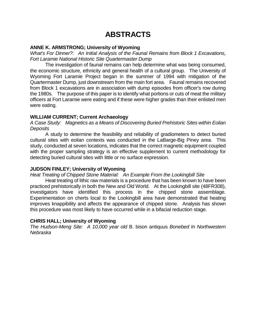### **ABSTRACTS**

#### **ANNE K. ARMSTRONG; University of Wyoming**

*What's For Dinner?: An Initial Analysis of the Faunal Remains from Block 1 Excavations, Fort Laramie National Historic Site Quartermaster Dump*

The investigation of faunal remains can help determine what was being consumed, the economic structure, ethnicity and general health of a cultural group. The University of Wyoming Fort Laramie Project began in the summer of 1994 with mitigation of the Quartermaster Dump, just downstream from the main fort area. Faunal remains recovered from Block 1 excavations are in association with dump episodes from officer's row during the 1980s. The purpose of this paper is to identify what portions or cuts of meat the military officers at Fort Laramie were eating and if these were higher grades than their enlisted men were eating.

#### **WILLIAM CURRENT; Current Archaeology**

*A Case Study: Magnetics as a Means of Discovering Buried Prehistoric Sites within Eolian Deposits*

A study to determine the feasibility and reliability of gradiometers to detect buried cultural sites with eolian contexts was conducted in the LaBarge-Big Piney area. This study, conducted at seven locations, indicates that the correct magnetic equipment coupled with the proper sampling strategy is an effective supplement to current methodology for detecting buried cultural sites with little or no surface expression.

#### **JUDSON FINLEY; University of Wyoming**

#### *Heat Treating of Chipped Stone Material: An Example From the Lookingbill Site*

Heat treating of lithic raw materials is a procedure that has been known to have been practiced prehistorically in both the New and Old World. At the Lookingbill site (48FR308), investigators have identified this process in the chipped stone assemblage. Experimentation on cherts local to the Lookingbill area have demonstrated that heating improves knappibility and affects the appearance of chipped stone. Analysis has shown this procedure was most likely to have occurred while in a bifacial reduction stage.

#### **CHRIS HALL; University of Wyoming**

*The Hudson-Meng Site: A 10,000 year old* B. bison antiquus *Bonebed In Northwestern Nebraska*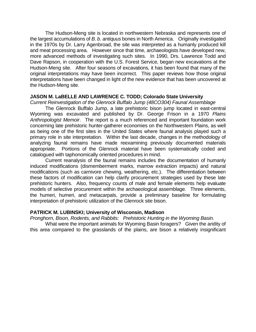The Hudson-Meng site is located in northwestern Nebraska and represents one of the largest accumulations of *B. b. antiquus* bones in North America. Originally investigated in the 1970s by Dr. Larry Agenbroad, the site was interpreted as a humanly produced kill and meat processing area. However since that time, archaeologists have developed new, more advanced methods of investigating such sites. In 1990, Drs. Lawrence Todd and Dave Rapson, in cooperation with the U.S. Forest Service, began new excavations at the Hudson-Meng site. After four seasons of excavations, it has been found that many of the original interpretations may have been incorrect. This paper reviews how those original interpretations have been changed in light of the new evidence that has been uncovered at the Hudson-Meng site.

#### **JASON M. LaBELLE AND LAWRENCE C. TODD; Colorado State University**

*Current Reinvestigation of the Glenrock Buffalo Jump (48CO304) Faunal Assemblage*

The Glenrock Buffalo Jump, a late prehistoric bison jump located in east-central Wyoming was excavated and published by Dr. George Frison in a 1970 *Plains Anthropologist Memoir*. The report is a much referenced and important foundation work concerning late prehistoric hunter-gatherer economies on the Northwestern Plains, as well as being one of the first sites in the United States where faunal analysis played such a primary role in site interpretation. Within the last decade, changes in the methodology of analyzing faunal remains have made reexamining previously documented materials appropriate. Portions of the Glenrock material have been systematically coded and catalogued with taphonomically oriented procedures in mind.

Current reanalysis of the faunal remains includes the documentation of humanly induced modifications (dismemberment marks, marrow extraction impacts) and natural modifications (such as carnivore chewing, weathering, etc.). The differentiation between these factors of modification can help clarify procurement strategies used by these late prehistoric hunters. Also, frequency counts of male and female elements help evaluate models of selective procurement within the archaeological assemblage. Three elements, the humeri, humeri, and metacarpals, provide a preliminary baseline for formulating interpretation of prehistoric utilization of the Glenrock site bison.

#### **PATRICK M. LUBINSKI; University of Wisconsin, Madison**

*Pronghorn, Bison, Rodents, and Rabbits: Prehistoric Hunting in the Wyoming Basin.*

What were the important animals for Wyoming Basin foragers? Given the aridity of this area compared to the grasslands of the plains, are bison a relatively insignificant